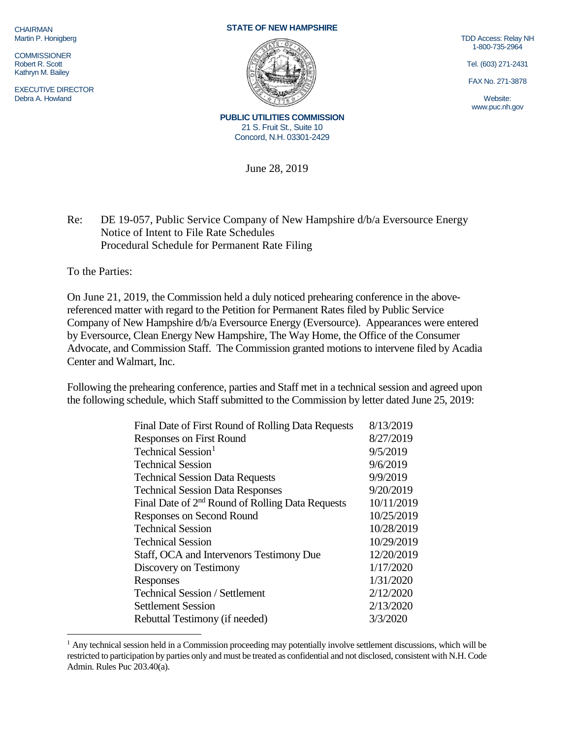**CHAIRMAN** Martin P. Honigberg

**COMMISSIONER** Robert R. Scott Kathryn M. Bailey

EXECUTIVE DIRECTOR Debra A. Howland

## **STATE OF NEW HAMPSHIRE**



**PUBLIC UTILITIES COMMISSION** 21 S. Fruit St., Suite 10 Concord, N.H. 03301-2429

June 28, 2019

TDD Access: Relay NH 1-800-735-2964

Tel. (603) 271-2431

FAX No. 271-3878

Website: www.puc.nh.gov

Re: DE 19-057, Public Service Company of New Hampshire d/b/a Eversource Energy Notice of Intent to File Rate Schedules Procedural Schedule for Permanent Rate Filing

To the Parties:

On June 21, 2019, the Commission held a duly noticed prehearing conference in the abovereferenced matter with regard to the Petition for Permanent Rates filed by Public Service Company of New Hampshire d/b/a Eversource Energy (Eversource). Appearances were entered by Eversource, Clean Energy New Hampshire, The Way Home, the Office of the Consumer Advocate, and Commission Staff. The Commission granted motions to intervene filed by Acadia Center and Walmart, Inc.

Following the prehearing conference, parties and Staff met in a technical session and agreed upon the following schedule, which Staff submitted to the Commission by letter dated June 25, 2019:

| Final Date of First Round of Rolling Data Requests           | 8/13/2019  |
|--------------------------------------------------------------|------------|
| <b>Responses on First Round</b>                              | 8/27/2019  |
| Technical Session <sup>1</sup>                               | 9/5/2019   |
| <b>Technical Session</b>                                     | 9/6/2019   |
| <b>Technical Session Data Requests</b>                       | 9/9/2019   |
| <b>Technical Session Data Responses</b>                      | 9/20/2019  |
| Final Date of 2 <sup>nd</sup> Round of Rolling Data Requests | 10/11/2019 |
| <b>Responses on Second Round</b>                             | 10/25/2019 |
| <b>Technical Session</b>                                     | 10/28/2019 |
| <b>Technical Session</b>                                     | 10/29/2019 |
| Staff, OCA and Intervenors Testimony Due                     | 12/20/2019 |
| Discovery on Testimony                                       | 1/17/2020  |
| Responses                                                    | 1/31/2020  |
| <b>Technical Session / Settlement</b>                        | 2/12/2020  |
| <b>Settlement Session</b>                                    | 2/13/2020  |
| Rebuttal Testimony (if needed)                               | 3/3/2020   |
|                                                              |            |

<span id="page-0-0"></span><sup>&</sup>lt;sup>1</sup> Any technical session held in a Commission proceeding may potentially involve settlement discussions, which will be restricted to participation by parties only and must be treated as confidential and not disclosed, consistent with N.H. Code Admin. Rules Puc 203.40(a).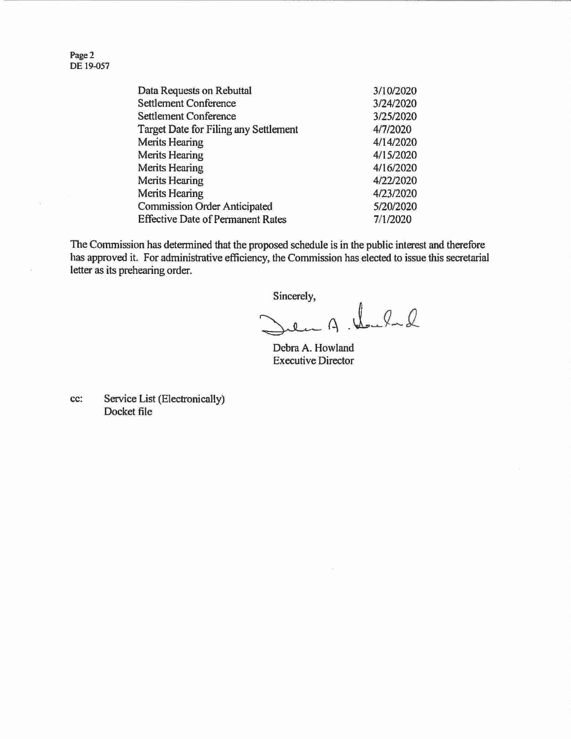Page 2 DE 19-057

| Data Requests on Rebuttal                    | 3/10/2020 |
|----------------------------------------------|-----------|
| <b>Settlement Conference</b>                 | 3/24/2020 |
| <b>Settlement Conference</b>                 | 3/25/2020 |
| <b>Target Date for Filing any Settlement</b> | 4/7/2020  |
| <b>Merits Hearing</b>                        | 4/14/2020 |
| <b>Merits Hearing</b>                        | 4/15/2020 |
| <b>Merits Hearing</b>                        | 4/16/2020 |
| <b>Merits Hearing</b>                        | 4/22/2020 |
| <b>Merits Hearing</b>                        | 4/23/2020 |
| <b>Commission Order Anticipated</b>          | 5/20/2020 |
| <b>Effective Date of Permanent Rates</b>     | 7/1/2020  |

The Commission has determined that the proposed schedule is in the public interest and therefore has approved it. For administrative efficiency, the Commission has elected to issue this secretarial letter as its prehearing order.

Sincerely,

en A. there

Debra A. Howland Executive Director

cc: Service List (Electronically) Docket file